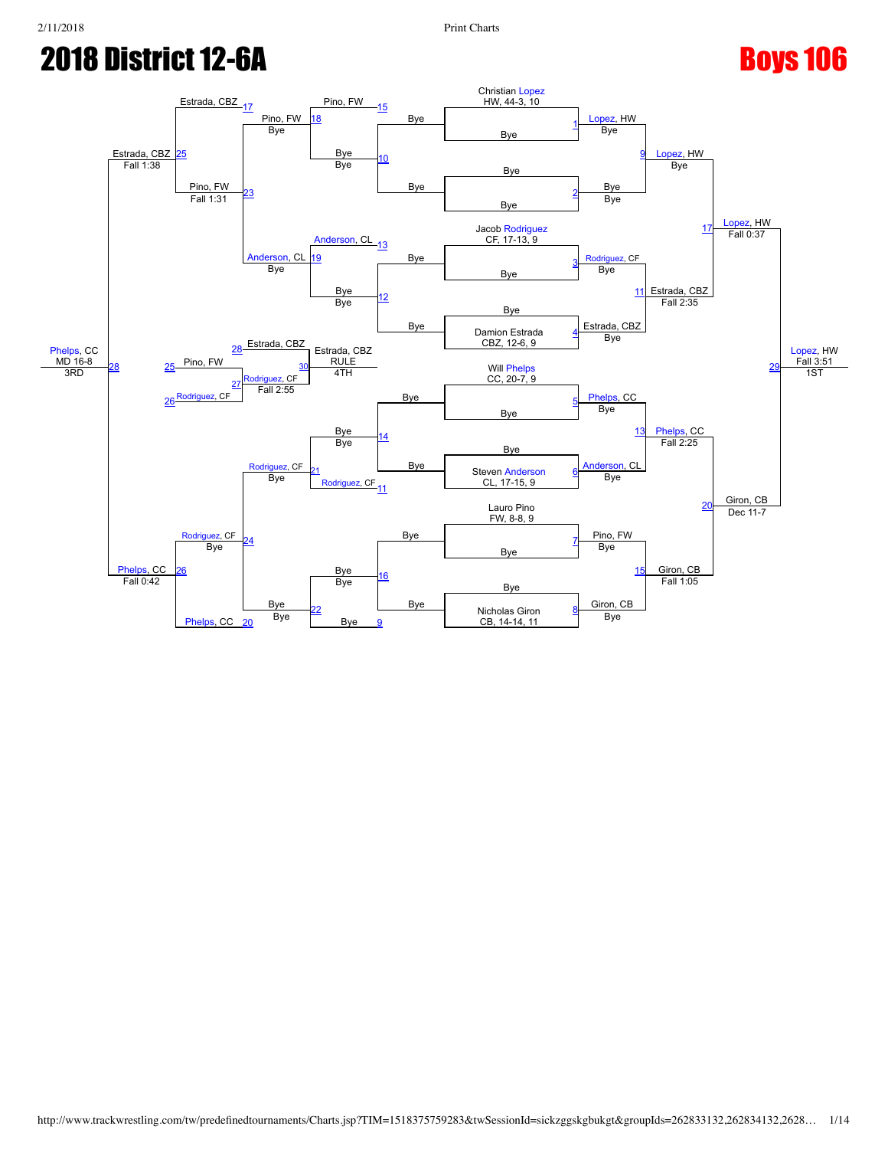

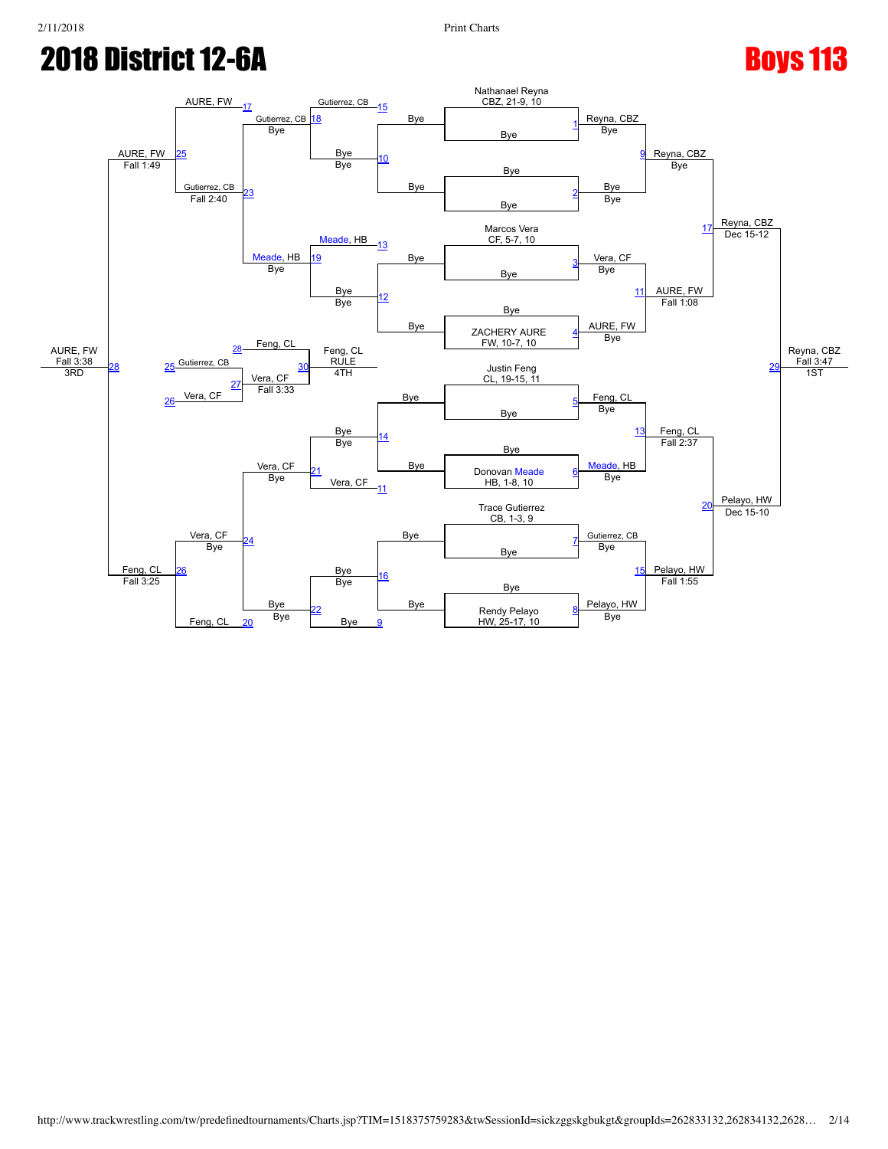

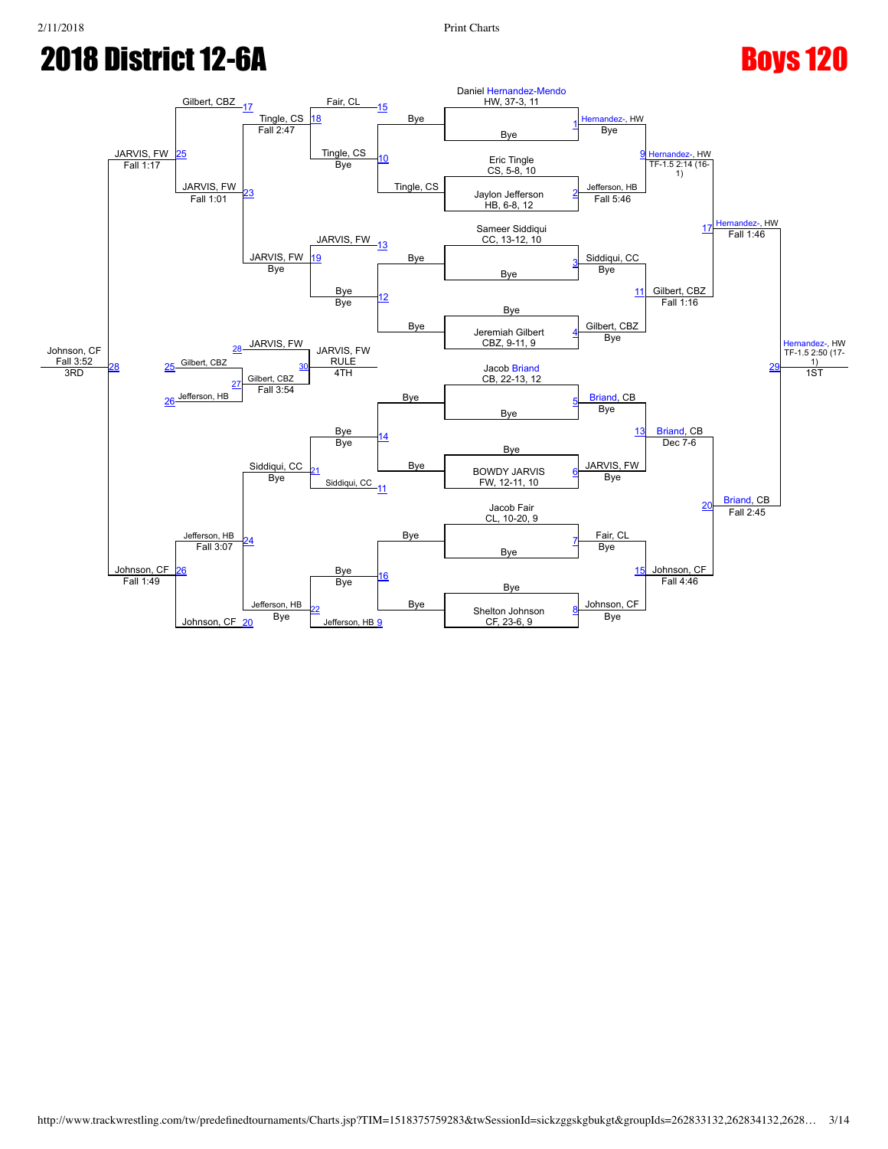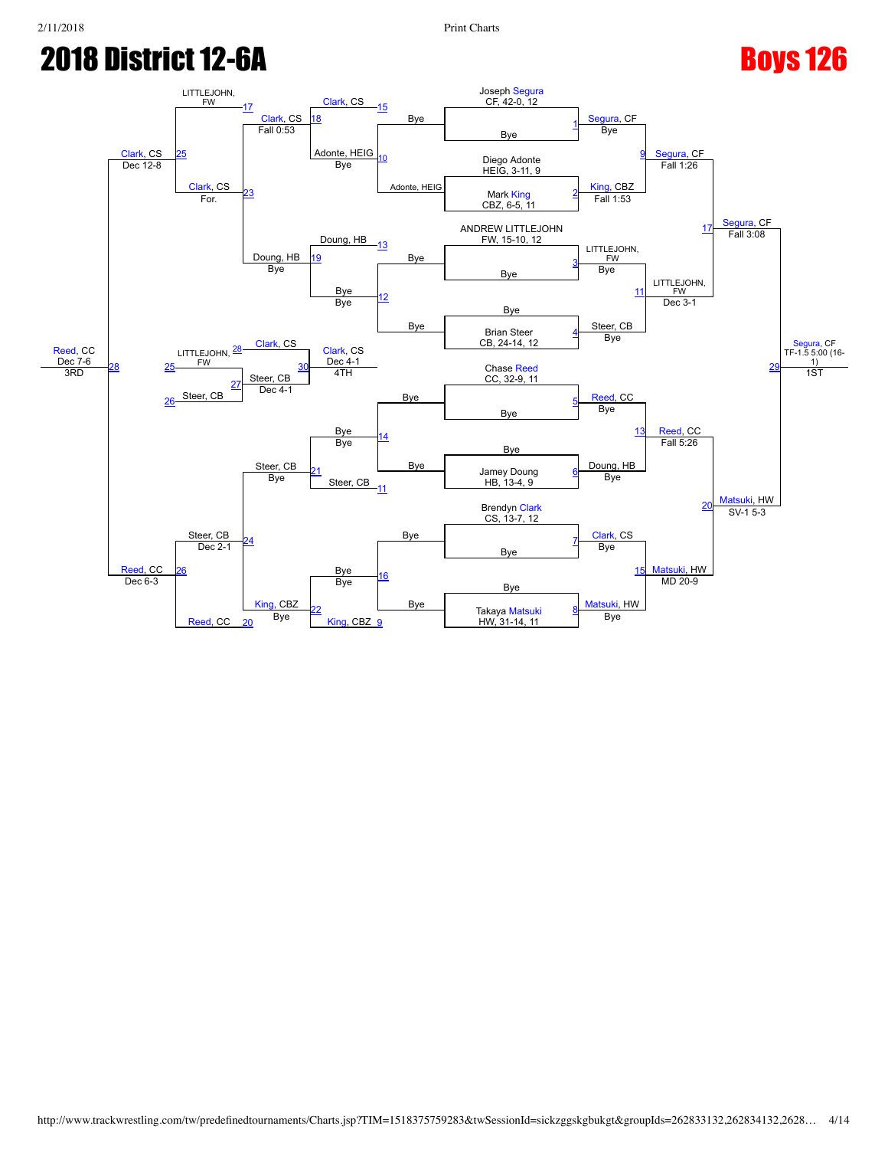

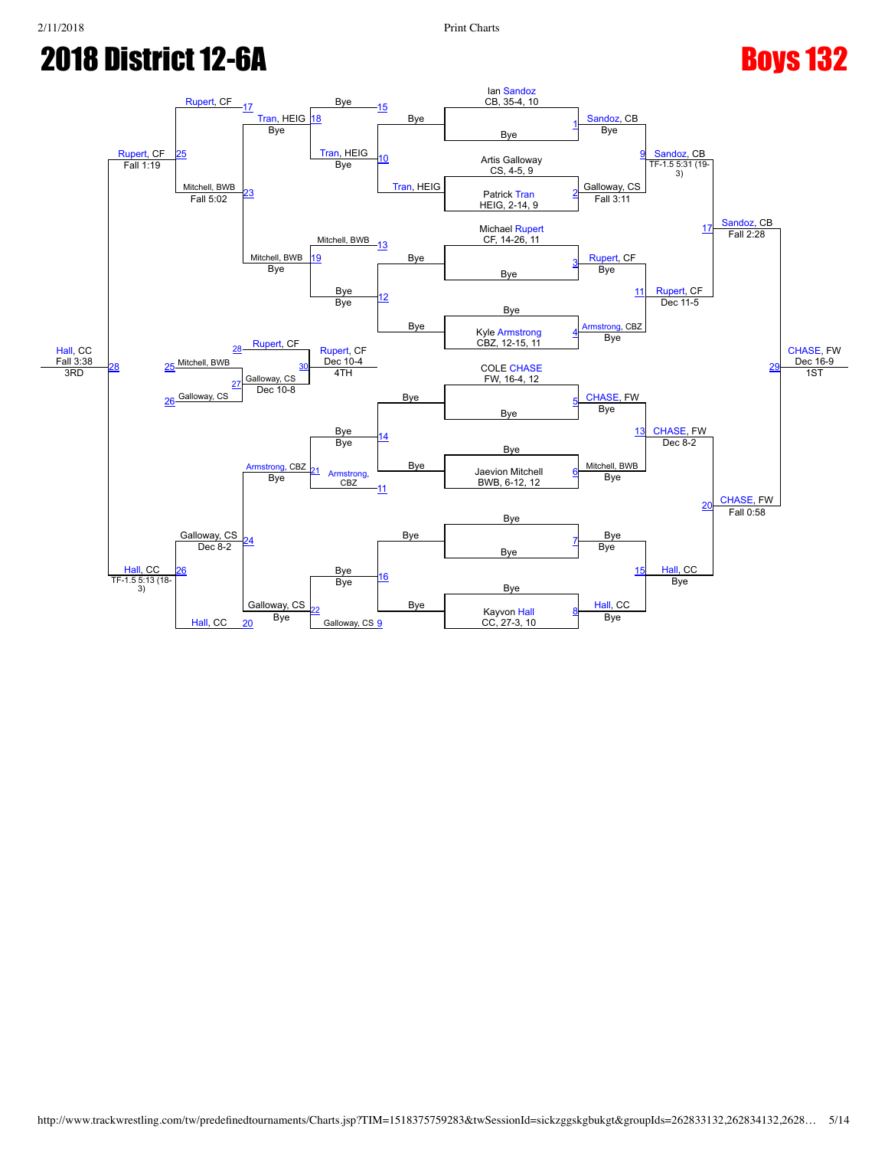

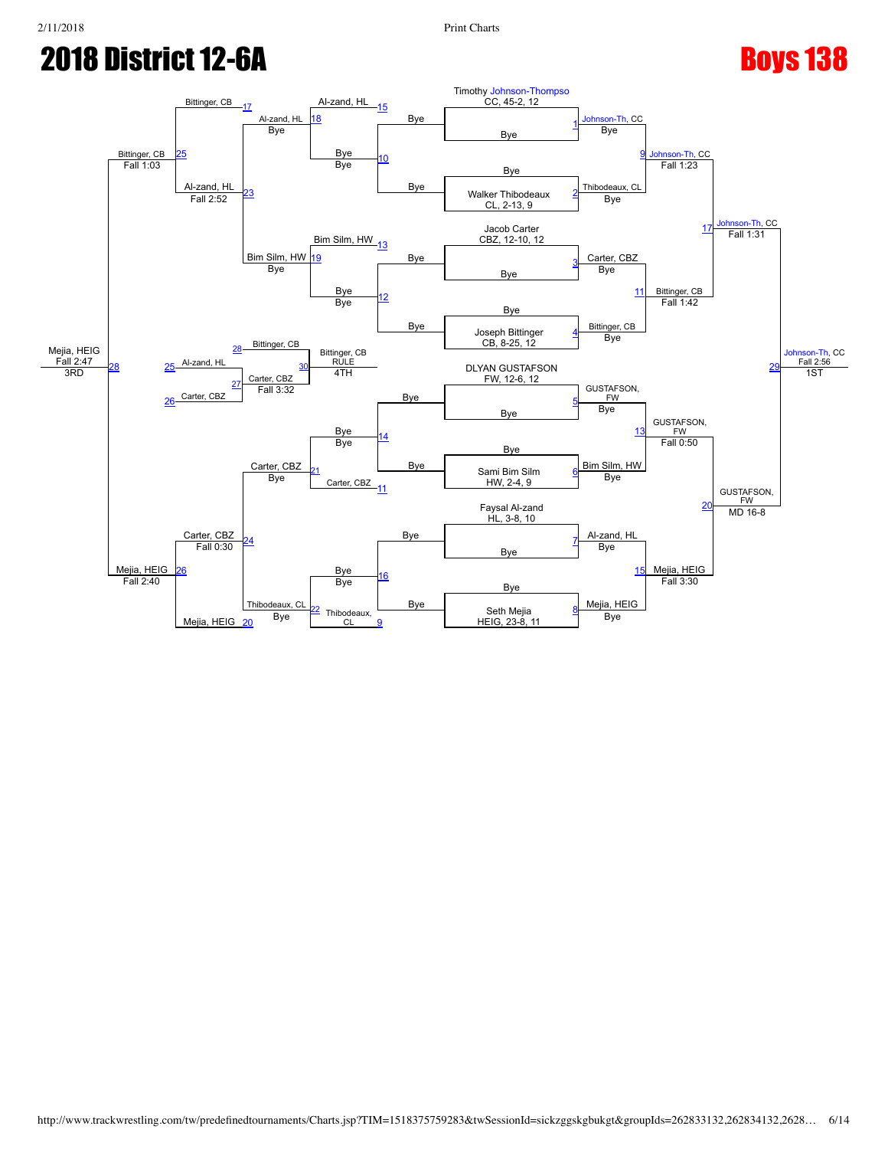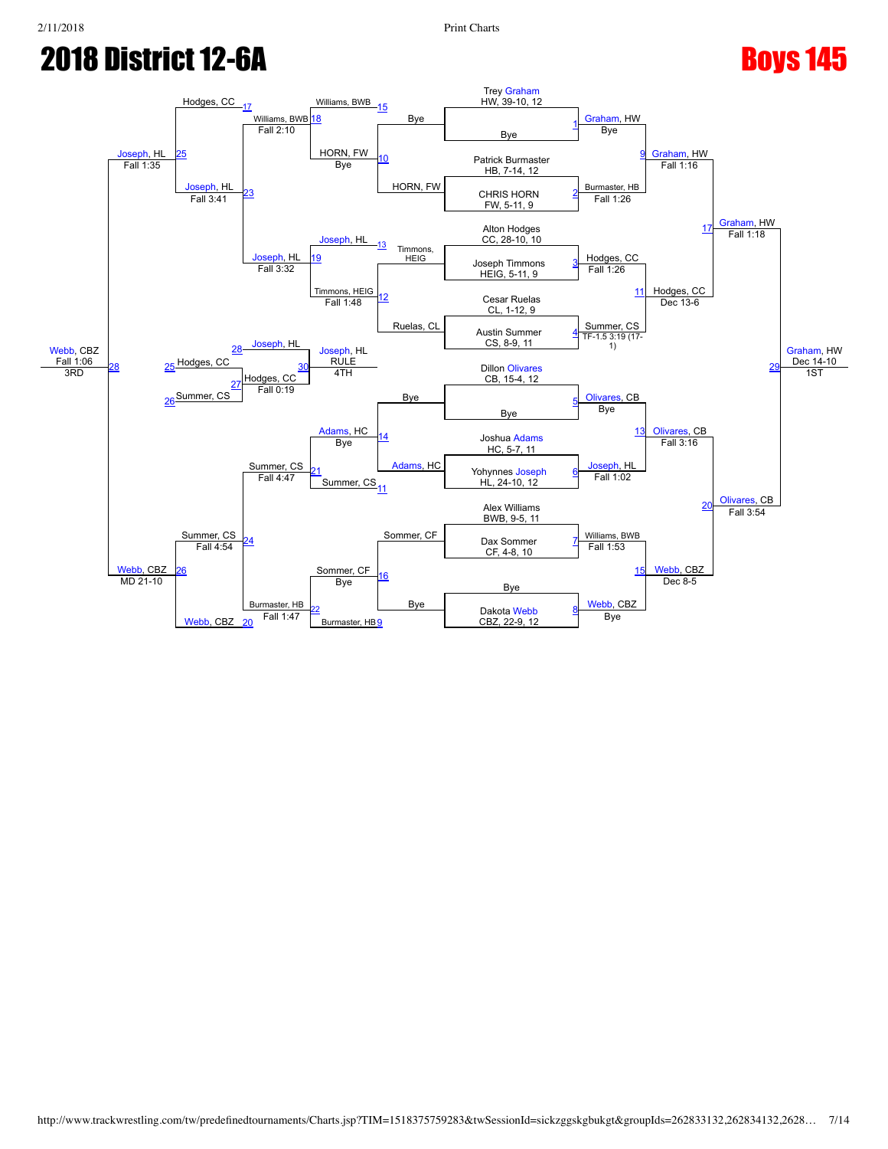

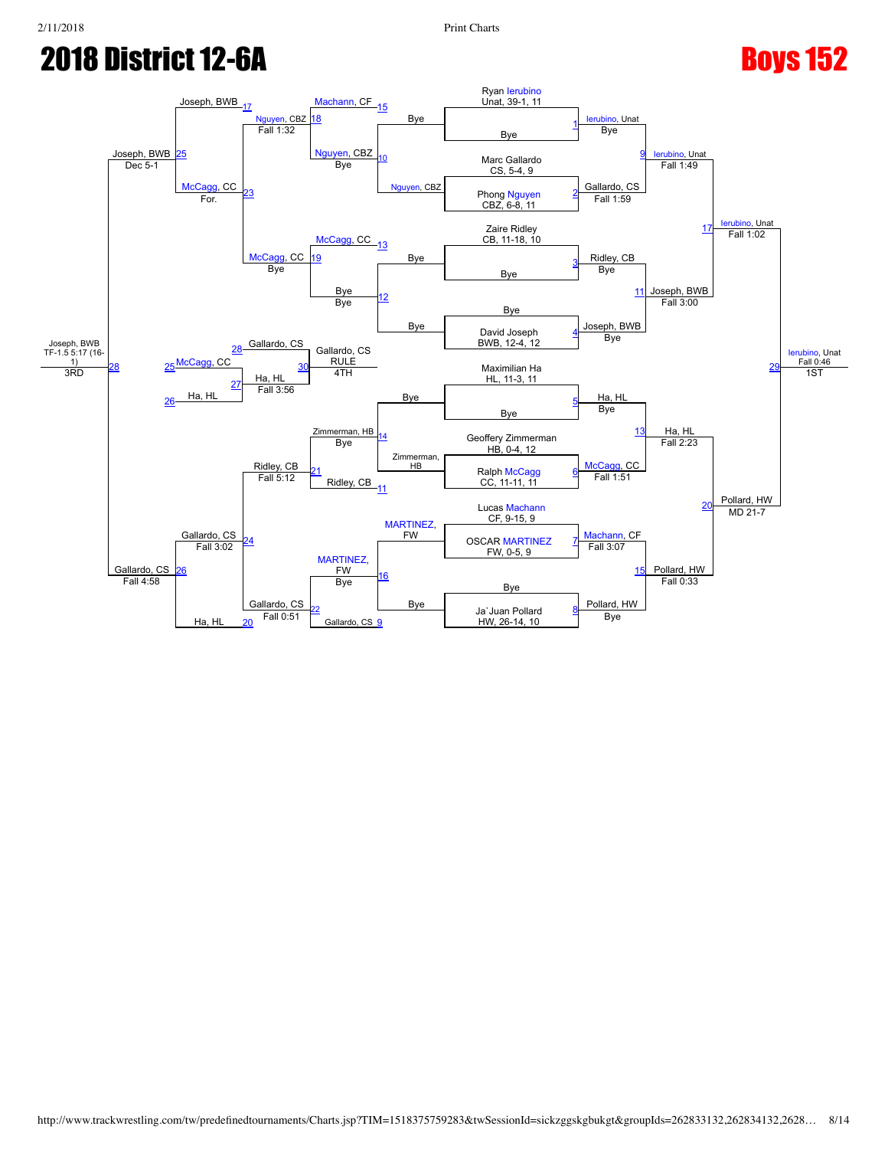

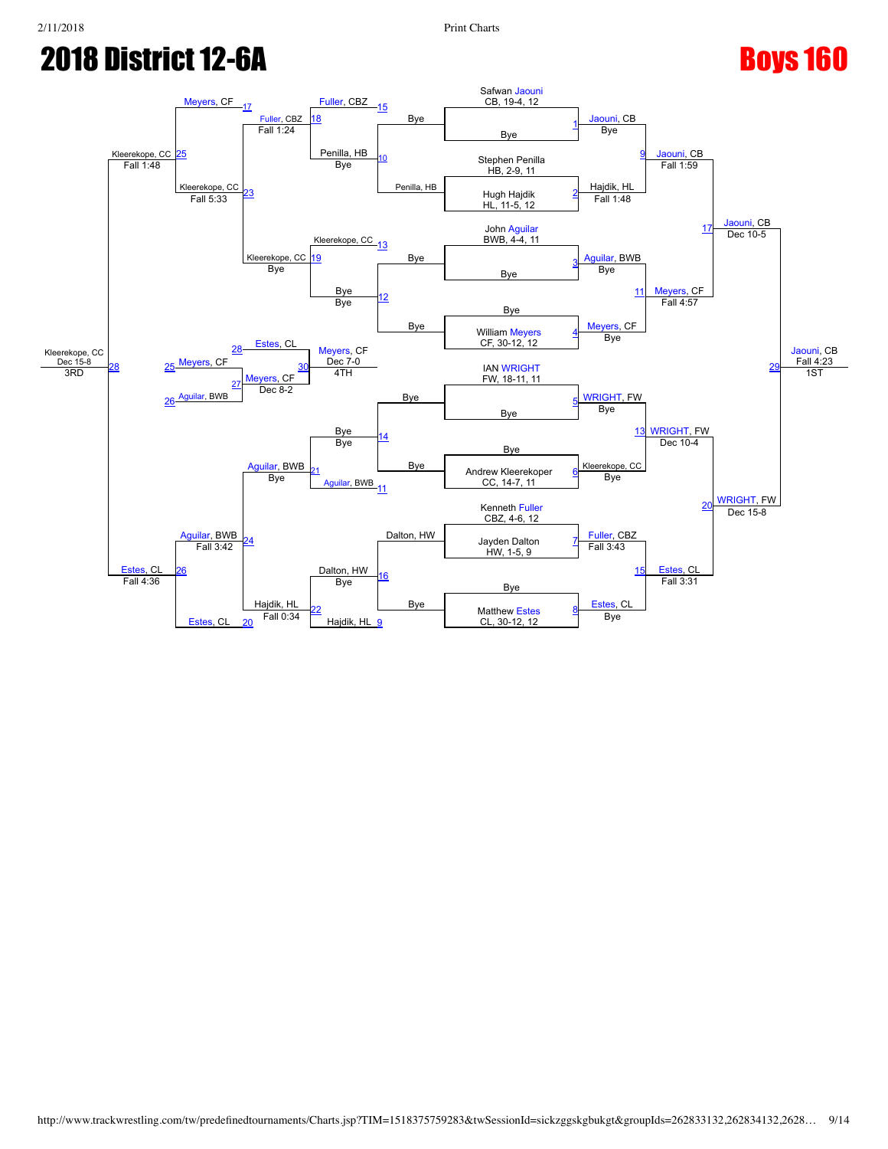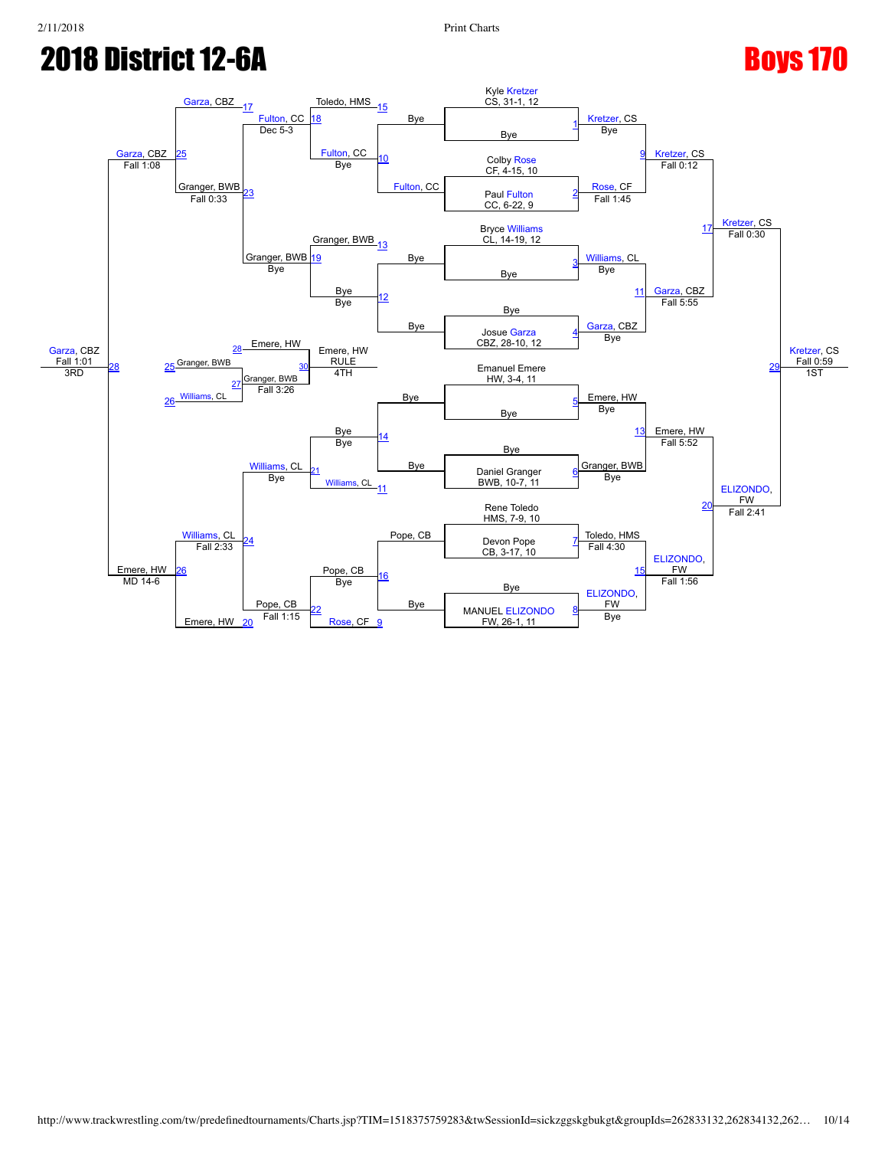

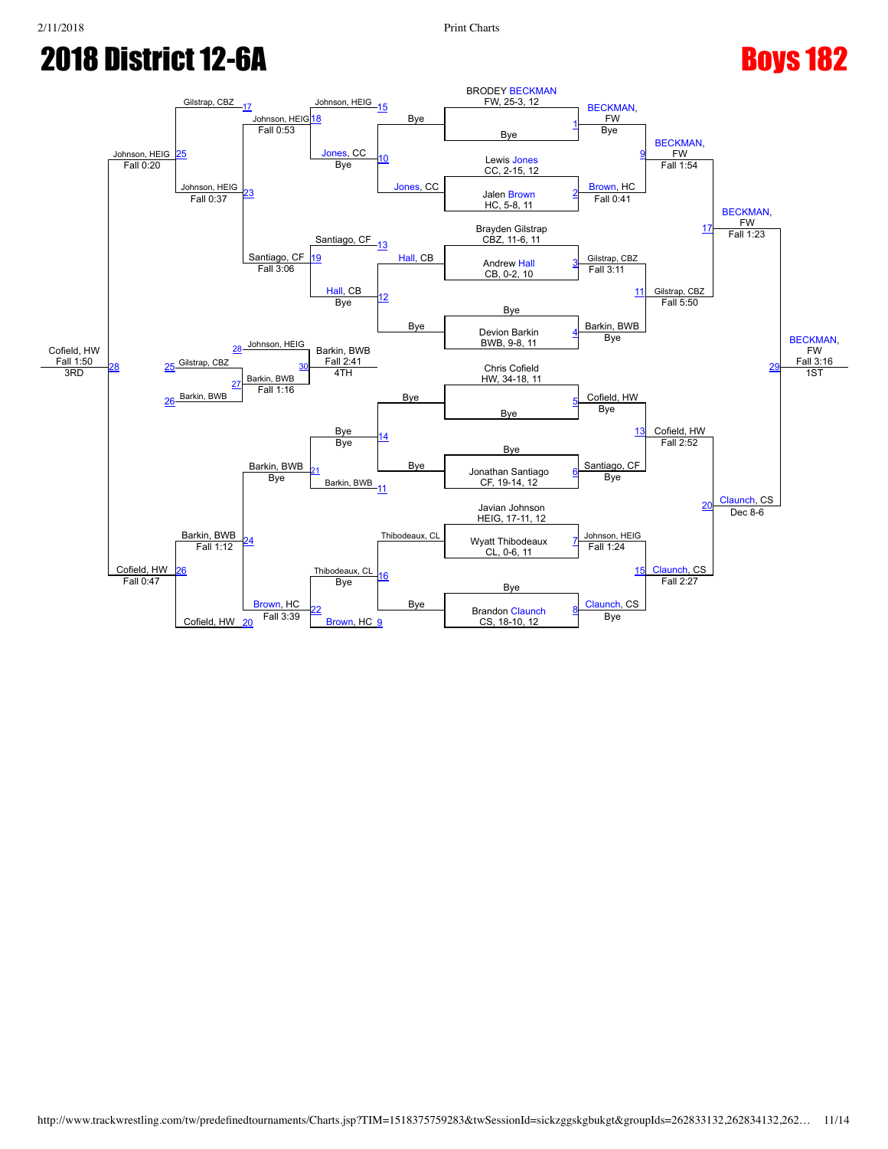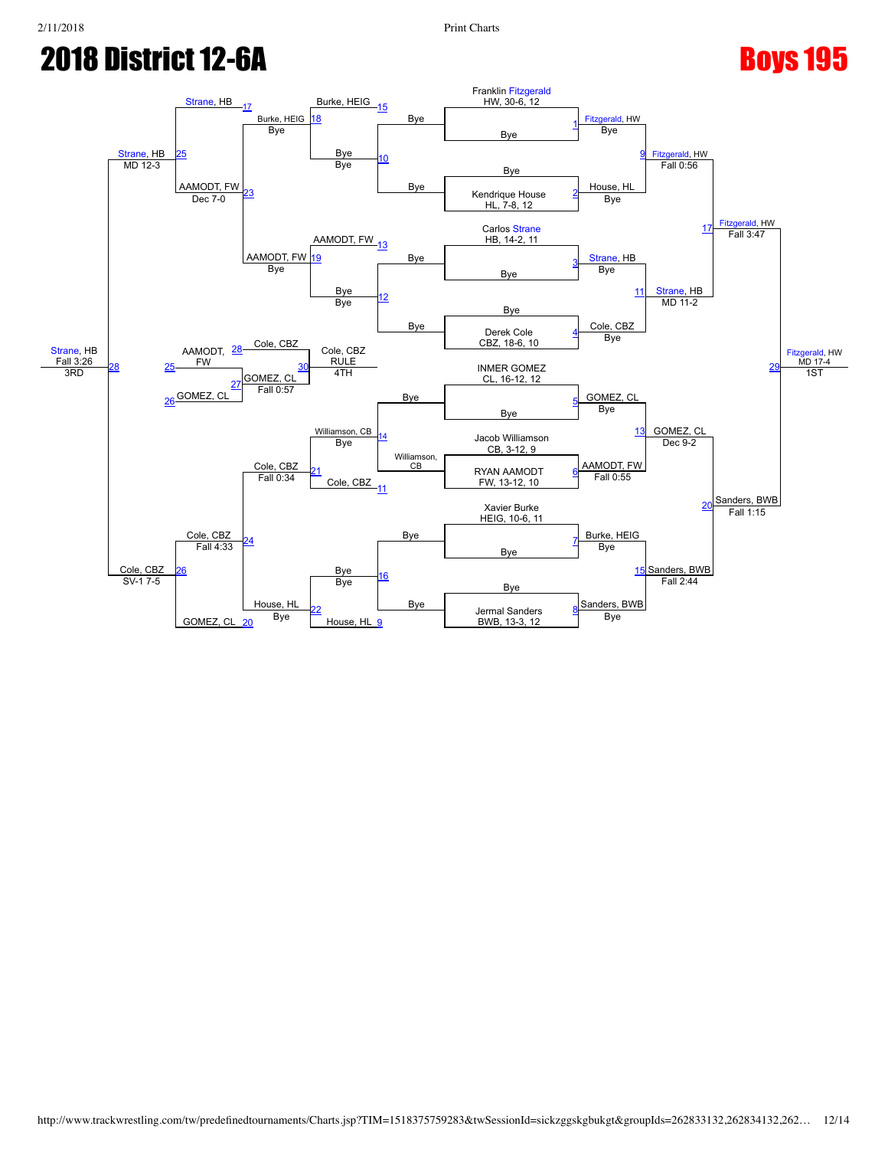

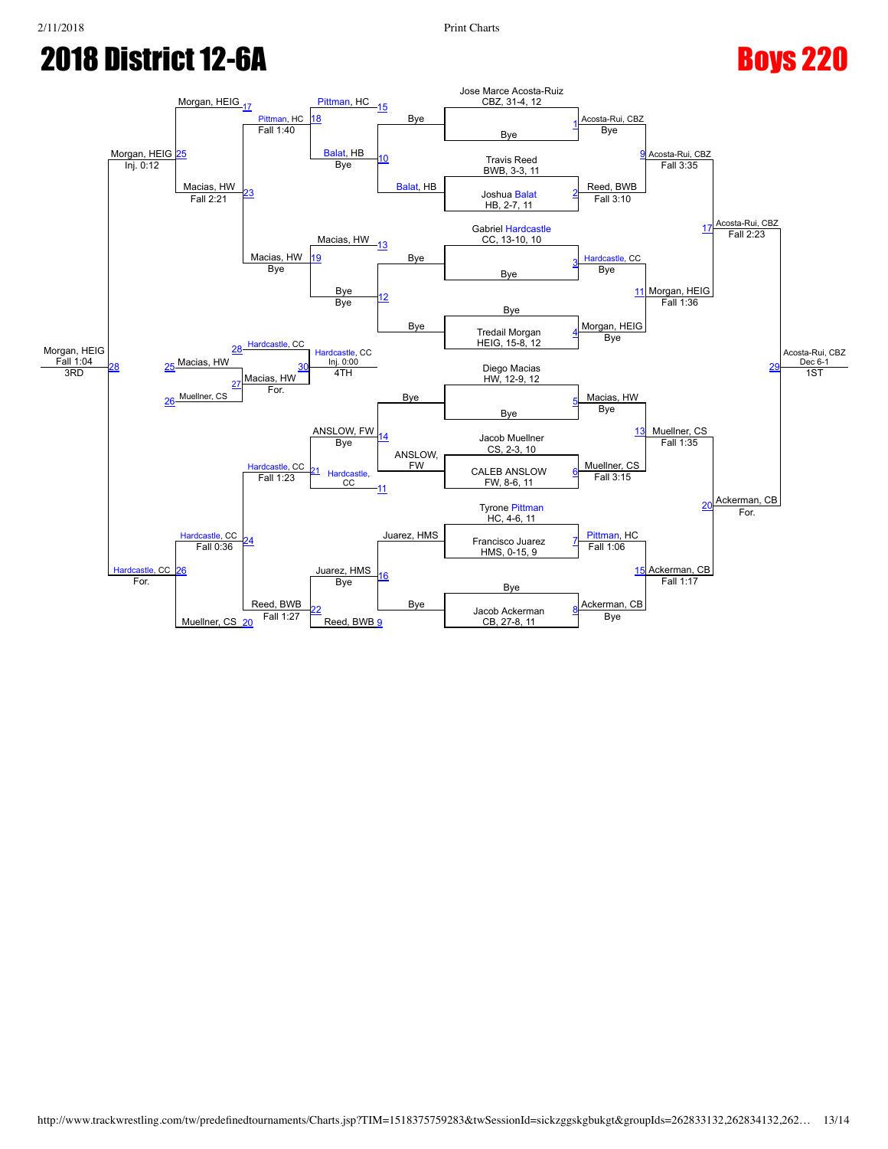